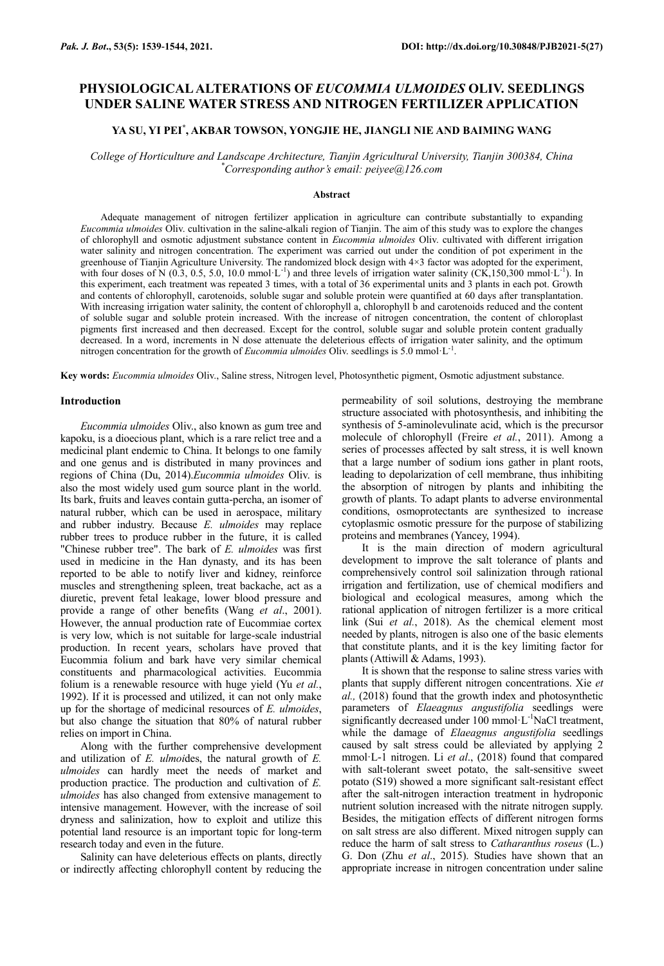# **PHYSIOLOGICAL ALTERATIONS OF** *EUCOMMIA ULMOIDES* **OLIV. SEEDLINGS UNDER SALINE WATER STRESS AND NITROGEN FERTILIZER APPLICATION**

# **YA SU, YI PEI\* , AKBAR TOWSON, YONGJIE HE, JIANGLI NIE AND BAIMING WANG**

*College of Horticulture and Landscape Architecture, Tianjin Agricultural University, Tianjin 300384, China \*Corresponding author's email: [peiyee@126.com](mailto:peiyee@126.com)*

### **Abstract**

Adequate management of nitrogen fertilizer application in agriculture can contribute substantially to expanding *Eucommia ulmoides* Oliv. cultivation in the saline-alkali region of Tianjin. The aim of this study was to explore the changes of chlorophyll and osmotic adjustment substance content in *Eucommia ulmoides* Oliv. cultivated with different irrigation water salinity and nitrogen concentration. The experiment was carried out under the condition of pot experiment in the greenhouse of Tianjin Agriculture University. The randomized block design with 4×3 factor was adopted for the experiment, with four doses of N (0.3, 0.5, 5.0, 10.0 mmol·L<sup>-1</sup>) and three levels of irrigation water salinity (CK,150,300 mmol·L<sup>-1</sup>). In this experiment, each treatment was repeated 3 times, with a total of 36 experimental units and 3 plants in each pot. Growth and contents of chlorophyll, carotenoids, soluble sugar and soluble protein were quantified at 60 days after transplantation. With increasing irrigation water salinity, the content of chlorophyll a, chlorophyll b and carotenoids reduced and the content of soluble sugar and soluble protein increased. With the increase of nitrogen concentration, the content of chloroplast pigments first increased and then decreased. Except for the control, soluble sugar and soluble protein content gradually decreased. In a word, increments in N dose attenuate the deleterious effects of irrigation water salinity, and the optimum nitrogen concentration for the growth of *Eucommia ulmoides* Oliv. seedlings is 5.0 mmol·L-1 .

**Key words:** *Eucommia ulmoides* Oliv., Saline stress, Nitrogen level, Photosynthetic pigment, Osmotic adjustment substance.

#### **Introduction**

*Eucommia ulmoides* Oliv., also known as gum tree and kapoku, is a dioecious plant, which is a rare relict tree and a medicinal plant endemic to China. It belongs to one family and one genus and is distributed in many provinces and regions of China (Du, 2014).*Eucommia ulmoides* Oliv. is also the most widely used gum source plant in the world. Its bark, fruits and leaves contain gutta-percha, an isomer of natural rubber, which can be used in aerospace, military and rubber industry. Because *E. ulmoides* may replace rubber trees to produce rubber in the future, it is called "Chinese rubber tree". The bark of *E. ulmoides* was first used in medicine in the Han dynasty, and its has been reported to be able to notify liver and kidney, reinforce muscles and strengthening spleen, treat backache, act as a diuretic, prevent fetal leakage, lower blood pressure and provide a range of other benefits (Wang *et al*., 2001). However, the annual production rate of Eucommiae cortex is very low, which is not suitable for large-scale industrial production. In recent years, scholars have proved that Eucommia folium and bark have very similar chemical constituents and pharmacological activities. Eucommia folium is a renewable resource with huge yield (Yu *et al.*, 1992). If it is processed and utilized, it can not only make up for the shortage of medicinal resources of *E. ulmoides*, but also change the situation that 80% of natural rubber relies on import in China.

Along with the further comprehensive development and utilization of *E. ulmoi*des, the natural growth of *E. ulmoides* can hardly meet the needs of market and production practice. The production and cultivation of *E. ulmoides* has also changed from extensive management to intensive management. However, with the increase of soil dryness and salinization, how to exploit and utilize this potential land resource is an important topic for long-term research today and even in the future.

Salinity can have deleterious effects on plants, directly or indirectly affecting chlorophyll content by reducing the permeability of soil solutions, destroying the membrane structure associated with photosynthesis, and inhibiting the synthesis of 5-aminolevulinate acid, which is the precursor molecule of chlorophyll (Freire *et al.*, 2011). Among a series of processes affected by salt stress, it is well known that a large number of sodium ions gather in plant roots, leading to depolarization of cell membrane, thus inhibiting the absorption of nitrogen by plants and inhibiting the growth of plants. To adapt plants to adverse environmental conditions, osmoprotectants are synthesized to increase cytoplasmic osmotic pressure for the purpose of stabilizing proteins and membranes (Yancey, 1994).

It is the main direction of modern agricultural development to improve the salt tolerance of plants and comprehensively control soil salinization through rational irrigation and fertilization, use of chemical modifiers and biological and ecological measures, among which the rational application of nitrogen fertilizer is a more critical link (Sui *et al.*, 2018). As the chemical element most needed by plants, nitrogen is also one of the basic elements that constitute plants, and it is the key limiting factor for plants (Attiwill & Adams, 1993).

It is shown that the response to saline stress varies with plants that supply different nitrogen concentrations. Xie *et al.,* (2018) found that the growth index and photosynthetic parameters of *Elaeagnus angustifolia* seedlings were significantly decreased under 100 mmol·L<sup>-1</sup>NaCl treatment, while the damage of *Elaeagnus angustifolia* seedlings caused by salt stress could be alleviated by applying 2 mmol·L-1 nitrogen. Li *et al*., (2018) found that compared with salt-tolerant sweet potato, the salt-sensitive sweet potato (S19) showed a more significant salt-resistant effect after the salt-nitrogen interaction treatment in hydroponic nutrient solution increased with the nitrate nitrogen supply. Besides, the mitigation effects of different nitrogen forms on salt stress are also different. Mixed nitrogen supply can reduce the harm of salt stress to *Catharanthus roseus* (L.) G. Don (Zhu *et al*., 2015). Studies have shown that an appropriate increase in nitrogen concentration under saline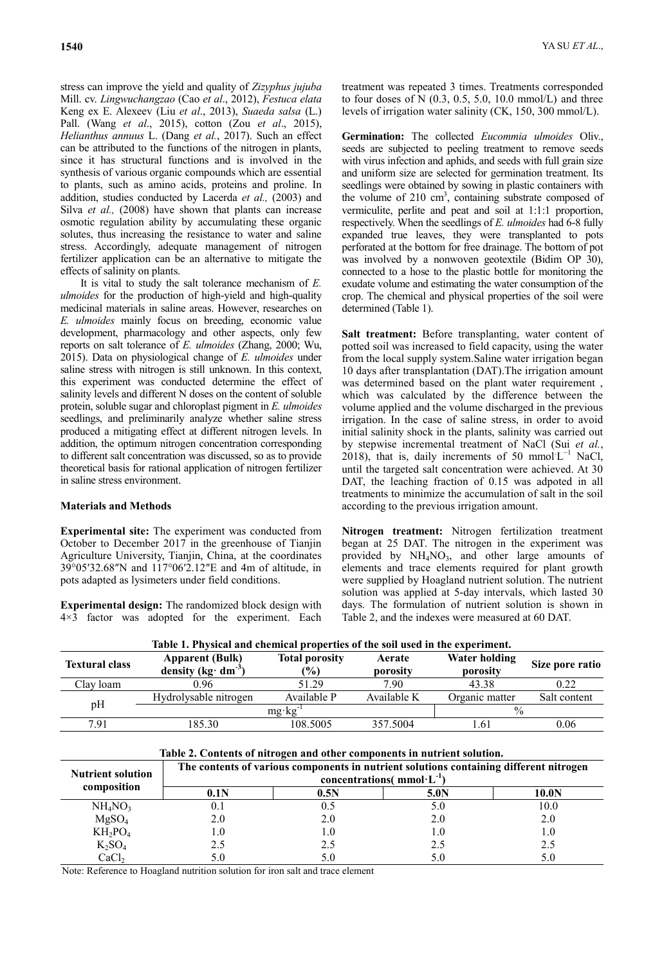stress can improve the yield and quality of *Zizyphus jujuba* Mill. cv. *Lingwuchangzao* (Cao *et al*., 2012), *Festuca elata* Keng ex E. Alexeev (Liu *et al*., 2013), *Suaeda salsa* (L.) Pall. (Wang *et al*., 2015), cotton (Zou *et al*., 2015), *Helianthus annuus* L. (Dang *et al.*, 2017). Such an effect can be attributed to the functions of the nitrogen in plants, since it has structural functions and is involved in the synthesis of various organic compounds which are essential to plants, such as amino acids, proteins and proline. In addition, studies conducted by Lacerda *et al.,* (2003) and Silva *et al.*, (2008) have shown that plants can increase osmotic regulation ability by accumulating these organic solutes, thus increasing the resistance to water and saline stress. Accordingly, adequate management of nitrogen fertilizer application can be an alternative to mitigate the effects of salinity on plants.

It is vital to study the salt tolerance mechanism of *E. ulmoides* for the production of high-yield and high-quality medicinal materials in saline areas. However, researches on *E. ulmoides* mainly focus on breeding, economic value development, pharmacology and other aspects, only few reports on salt tolerance of *E. ulmoides* (Zhang, 2000; Wu, 2015). Data on physiological change of *E. ulmoides* under saline stress with nitrogen is still unknown. In this context, this experiment was conducted determine the effect of salinity levels and different N doses on the content of soluble protein, soluble sugar and chloroplast pigment in *E. ulmoides* seedlings, and preliminarily analyze whether saline stress produced a mitigating effect at different nitrogen levels. In addition, the optimum nitrogen concentration corresponding to different salt concentration was discussed, so as to provide theoretical basis for rational application of nitrogen fertilizer in saline stress environment.

# **Materials and Methods**

**Experimental site:** The experiment was conducted from October to December 2017 in the greenhouse of Tianjin Agriculture University, Tianjin, China, at the coordinates 39°05′32.68″N and 117°06′2.12″E and 4m of altitude, in pots adapted as lysimeters under field conditions.

**Experimental design:** The randomized block design with 4×3 factor was adopted for the experiment. Each

treatment was repeated 3 times. Treatments corresponded to four doses of N  $(0.3, 0.5, 5.0, 10.0 \text{ mmol/L})$  and three levels of irrigation water salinity (CK, 150, 300 mmol/L).

**Germination:** The collected *Eucommia ulmoides* Oliv., seeds are subjected to peeling treatment to remove seeds with virus infection and aphids, and seeds with full grain size and uniform size are selected for germination treatment. Its seedlings were obtained by sowing in plastic containers with the volume of  $210 \text{ cm}^3$ , containing substrate composed of vermiculite, perlite and peat and soil at 1:1:1 proportion, respectively. When the seedlings of *E. ulmoides* had 6-8 fully expanded true leaves, they were transplanted to pots perforated at the bottom for free drainage. The bottom of pot was involved by a nonwoven geotextile (Bidim OP 30), connected to a hose to the plastic bottle for monitoring the exudate volume and estimating the water consumption of the crop. The chemical and physical properties of the soil were determined (Table 1).

**Salt treatment:** Before transplanting, water content of potted soil was increased to field capacity, using the water from the local supply system.Saline water irrigation began 10 days after transplantation (DAT).The irrigation amount was determined based on the plant water requirement , which was calculated by the difference between the volume applied and the volume discharged in the previous irrigation. In the case of saline stress, in order to avoid initial salinity shock in the plants, salinity was carried out by stepwise incremental treatment of NaCl (Sui *et al.*, 2018), that is, daily increments of 50 mmol  $L^{-1}$  NaCl, until the targeted salt concentration were achieved. At 30 DAT, the leaching fraction of 0.15 was adpoted in all treatments to minimize the accumulation of salt in the soil according to the previous irrigation amount.

**Nitrogen treatment:** Nitrogen fertilization treatment began at 25 DAT. The nitrogen in the experiment was provided by NH<sub>4</sub>NO<sub>3</sub>, and other large amounts of elements and trace elements required for plant growth were supplied by Hoagland nutrient solution. The nutrient solution was applied at 5-day intervals, which lasted 30 days. The formulation of nutrient solution is shown in Table 2, and the indexes were measured at 60 DAT.

|                                         | Table 1. I hysical and chemical properties of the son used in the experiment.                                             |                                          |                    |                           |                 |  |  |
|-----------------------------------------|---------------------------------------------------------------------------------------------------------------------------|------------------------------------------|--------------------|---------------------------|-----------------|--|--|
| <b>Textural class</b>                   | <b>Apparent (Bulk)</b><br>density (kg $\cdot$ dm $\cdot$ )                                                                | <b>Total porosity</b><br>$\mathcal{V}_0$ | Aerate<br>porosity | Water holding<br>porosity | Size pore ratio |  |  |
| Clay loam                               | 0.96                                                                                                                      | 51.29                                    | 7.90               | 43.38                     | 0.22            |  |  |
|                                         | Hydrolysable nitrogen                                                                                                     | Available P                              | Available K        | Organic matter            | Salt content    |  |  |
| pH                                      |                                                                                                                           | $\%$                                     |                    |                           |                 |  |  |
| 7.91                                    | 185.30                                                                                                                    | 108.5005                                 | 357.5004           | 1.61                      | 0.06            |  |  |
|                                         | Table 2. Contents of nitrogen and other components in nutrient solution.                                                  |                                          |                    |                           |                 |  |  |
| <b>Nutrient solution</b><br>composition | The contents of various components in nutrient solutions containing different nitrogen<br>concentrations( $mmol·L^{-1}$ ) |                                          |                    |                           |                 |  |  |
|                                         | 0.1N                                                                                                                      | 0.5N                                     |                    | 5.0N                      | 10.0N           |  |  |
| NH <sub>4</sub> NO <sub>3</sub>         | 0.1                                                                                                                       | 0.5                                      |                    | 5.0                       | 10.0            |  |  |
| MgSO <sub>4</sub>                       | 2.0                                                                                                                       | 2.0                                      |                    | 2.0                       | 2.0             |  |  |

 $KH_2PO_4$  1.0 1.0 1.0 1.0 1.0  $K_2SO_4$  2.5 2.5 2.5 2.5 2.5

| Table 1. Physical and chemical properties of the soil used in the experiment. |  |  |  |  |  |  |
|-------------------------------------------------------------------------------|--|--|--|--|--|--|
|-------------------------------------------------------------------------------|--|--|--|--|--|--|

 $CaCl<sub>2</sub>$  5.0 5.0 5.0 5.0 5.0 Note: Reference to Hoagland nutrition solution for iron salt and trace element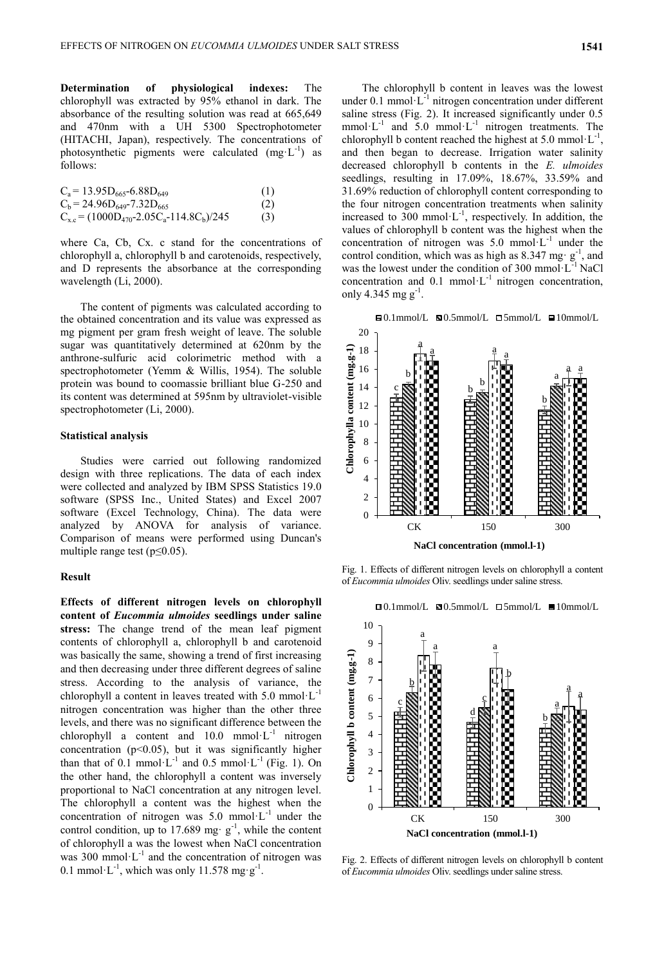**Determination of physiological indexes:** The chlorophyll was extracted by 95% ethanol in dark. The absorbance of the resulting solution was read at 665,649 and 470nm with a UH 5300 Spectrophotometer (HITACHI, Japan), respectively. The concentrations of photosynthetic pigments were calculated  $(mg \cdot L^{-1})$  as follows:

| $C_s = 13.95D_{665} - 6.88D_{649}$             | (1) |
|------------------------------------------------|-----|
| $C_b = 24.96D_{649} - 7.32D_{665}$             | (2) |
| $C_{x,c} = (1000D_{470}-2.05C_a-114.8C_b)/245$ | (3) |

where Ca, Cb, Cx. c stand for the concentrations of chlorophyll a, chlorophyll b and carotenoids, respectively, and D represents the absorbance at the corresponding wavelength (Li, 2000).

The content of pigments was calculated according to the obtained concentration and its value was expressed as mg pigment per gram fresh weight of leave. The soluble sugar was quantitatively determined at 620nm by the anthrone-sulfuric acid colorimetric method with a spectrophotometer (Yemm & Willis, 1954). The soluble protein was bound to coomassie brilliant blue G-250 and its content was determined at 595nm by ultraviolet-visible spectrophotometer (Li, 2000).

# **Statistical analysis**

Studies were carried out following randomized design with three replications. The data of each index were collected and analyzed by IBM SPSS Statistics 19.0 software (SPSS Inc., United States) and Excel 2007 software (Excel Technology, China). The data were analyzed by ANOVA for analysis of variance. Comparison of means were performed using Duncan's multiple range test ( $p \le 0.05$ ).

#### **Result**

**Effects of different nitrogen levels on chlorophyll content of** *Eucommia ulmoides* **seedlings under saline stress:** The change trend of the mean leaf pigment contents of chlorophyll a, chlorophyll b and carotenoid was basically the same, showing a trend of first increasing and then decreasing under three different degrees of saline stress. According to the analysis of variance, the chlorophyll a content in leaves treated with  $5.0 \text{ mmol} \cdot L^{-1}$ nitrogen concentration was higher than the other three levels, and there was no significant difference between the chlorophyll a content and  $10.0 \text{ mmol·L}^{-1}$  nitrogen concentration ( $p$ <0.05), but it was significantly higher than that of 0.1 mmol· $L^{-1}$  and 0.5 mmol· $L^{-1}$  (Fig. 1). On the other hand, the chlorophyll a content was inversely proportional to NaCl concentration at any nitrogen level. The chlorophyll a content was the highest when the concentration of nitrogen was  $5.0 \text{ mmol·L}^{-1}$  under the control condition, up to 17.689 mg $\cdot$  g<sup>-1</sup>, while the content of chlorophyll a was the lowest when NaCl concentration was 300 mmol $\cdot$ L<sup>-1</sup> and the concentration of nitrogen was 0.1 mmol $\cdot$ L<sup>-1</sup>, which was only 11.578 mg $\cdot$ g<sup>-1</sup>.

The chlorophyll b content in leaves was the lowest under 0.1 mmol $\cdot L^{-1}$  nitrogen concentration under different saline stress (Fig. 2). It increased significantly under 0.5 mmol·L<sup>-1</sup> and 5.0 mmol·L<sup>-1</sup> nitrogen treatments. The chlorophyll b content reached the highest at 5.0 mmol $\cdot L^{-1}$ , and then began to decrease. Irrigation water salinity decreased chlorophyll b contents in the *E. ulmoides* seedlings, resulting in 17.09%, 18.67%, 33.59% and 31.69% reduction of chlorophyll content corresponding to the four nitrogen concentration treatments when salinity increased to 300 mmol $\cdot L^{-1}$ , respectively. In addition, the values of chlorophyll b content was the highest when the concentration of nitrogen was  $5.0 \text{ mmol·L}^{-1}$  under the control condition, which was as high as 8.347 mg·  $g^{-1}$ , and was the lowest under the condition of 300 mmol·L-1 NaCl concentration and  $0.1$  mmol·L<sup>-1</sup> nitrogen concentration, only 4.345 mg  $g^{-1}$ .



Fig. 1. Effects of different nitrogen levels on chlorophyll a content of *Eucommia ulmoides* Oliv. seedlings under saline stress.





Fig. 2. Effects of different nitrogen levels on chlorophyll b content of *Eucommia ulmoides* Oliv. seedlings under saline stress.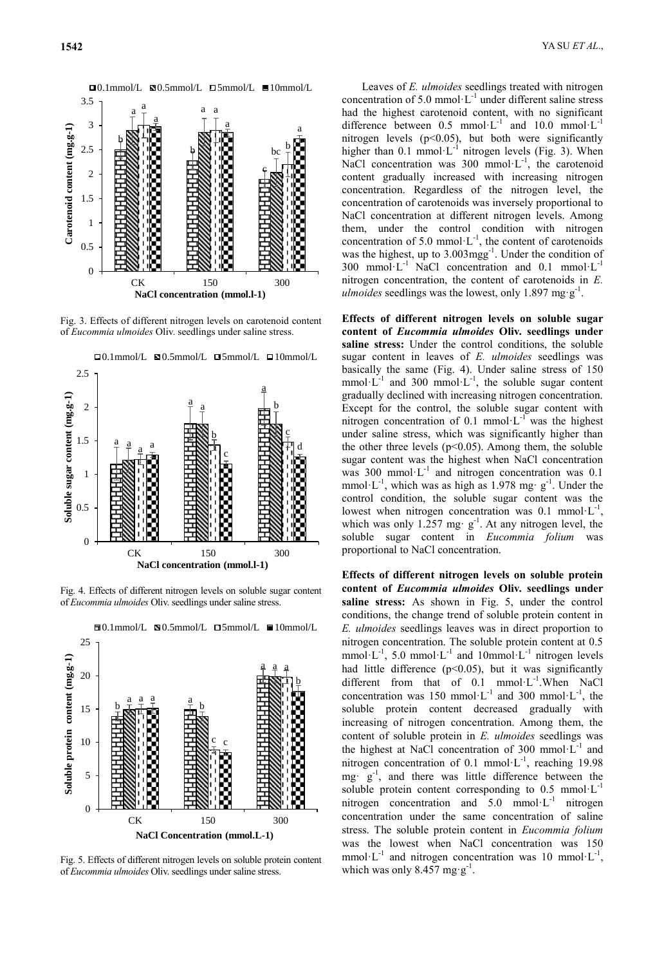

Fig. 3. Effects of different nitrogen levels on carotenoid content of *Eucommia ulmoides* Oliv. seedlings under saline stress.



Fig. 4. Effects of different nitrogen levels on soluble sugar content of *Eucommia ulmoides* Oliv. seedlings under saline stress.



 $\Box$ 0.1mmol/L  $\Box$ 0.5mmol/L  $\Box$ 5mmol/L  $\Box$ 10mmol/L

Fig. 5. Effects of different nitrogen levels on soluble protein content of *Eucommia ulmoides* Oliv. seedlings under saline stress.

Leaves of *E. ulmoides* seedlings treated with nitrogen concentration of 5.0 mmol $\cdot L^{-1}$  under different saline stress had the highest carotenoid content, with no significant difference between  $0.5 \text{ mmol·L}^{-1}$  and  $10.0 \text{ mmol·L}^{-1}$ nitrogen levels  $(p<0.05)$ , but both were significantly higher than  $0.1$  mmol $\cdot L^{-1}$  nitrogen levels (Fig. 3). When NaCl concentration was  $300 \text{ mmol} \cdot L^{-1}$ , the carotenoid content gradually increased with increasing nitrogen concentration. Regardless of the nitrogen level, the concentration of carotenoids was inversely proportional to NaCl concentration at different nitrogen levels. Among them, under the control condition with nitrogen concentration of 5.0 mmol $\cdot L^{-1}$ , the content of carotenoids was the highest, up to  $3.003 \text{mgg}^{-1}$ . Under the condition of 300 mmol·L<sup>-1</sup> NaCl concentration and  $0.1$  mmol·L<sup>-1</sup> nitrogen concentration, the content of carotenoids in *E. ulmoides* seedlings was the lowest, only 1.897 mg·g<sup>-1</sup>.

**Effects of different nitrogen levels on soluble sugar content of** *Eucommia ulmoides* **Oliv. seedlings under saline stress:** Under the control conditions, the soluble sugar content in leaves of *E. ulmoides* seedlings was basically the same (Fig. 4). Under saline stress of 150 mmol·L<sup>-1</sup> and 300 mmol·L<sup>-1</sup>, the soluble sugar content gradually declined with increasing nitrogen concentration. Except for the control, the soluble sugar content with nitrogen concentration of 0.1 mmol· $L^{-1}$  was the highest under saline stress, which was significantly higher than the other three levels ( $p<0.05$ ). Among them, the soluble sugar content was the highest when NaCl concentration was 300 mmol· $L^{-1}$  and nitrogen concentration was 0.1 mmol·L<sup>-1</sup>, which was as high as 1.978 mg·  $g^{-1}$ . Under the control condition, the soluble sugar content was the lowest when nitrogen concentration was 0.1 mmol· $L^{-1}$ , which was only 1.257 mg·  $g^{-1}$ . At any nitrogen level, the soluble sugar content in *Eucommia folium* was proportional to NaCl concentration.

**Effects of different nitrogen levels on soluble protein content of** *Eucommia ulmoides* **Oliv. seedlings under saline stress:** As shown in Fig. 5, under the control conditions, the change trend of soluble protein content in *E. ulmoides* seedlings leaves was in direct proportion to nitrogen concentration. The soluble protein content at 0.5 mmol·L<sup>-1</sup>, 5.0 mmol·L<sup>-1</sup> and 10mmol·L<sup>-1</sup> nitrogen levels had little difference  $(p<0.05)$ , but it was significantly different from that of 0.1 mmol·L<sup>-1</sup>. When NaCl concentration was 150 mmol·L<sup>-1</sup> and 300 mmol·L<sup>-1</sup>, the soluble protein content decreased gradually with increasing of nitrogen concentration. Among them, the content of soluble protein in *E. ulmoides* seedlings was the highest at NaCl concentration of 300 mmol $\cdot L^{-1}$  and nitrogen concentration of 0.1 mmol $\cdot$ L<sup>-1</sup>, reaching 19.98 mg $\cdot$  g<sup>-1</sup>, and there was little difference between the soluble protein content corresponding to  $0.5 \text{ mmol·L}^{-1}$ nitrogen concentration and  $5.0 \text{ mmol·L}^{-1}$  nitrogen concentration under the same concentration of saline stress. The soluble protein content in *Eucommia folium* was the lowest when NaCl concentration was 150 mmol·L<sup>-1</sup> and nitrogen concentration was 10 mmol·L<sup>-1</sup>, which was only 8.457 mg·g<sup>-1</sup>.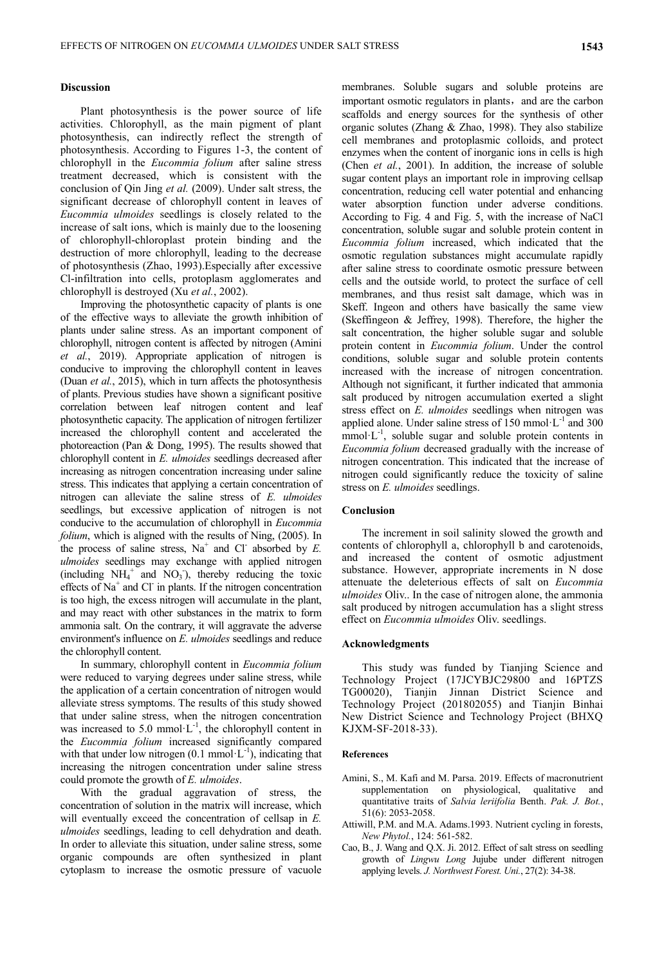# **Discussion**

Plant photosynthesis is the power source of life activities. Chlorophyll, as the main pigment of plant photosynthesis, can indirectly reflect the strength of photosynthesis. According to Figures 1-3, the content of chlorophyll in the *Eucommia folium* after saline stress treatment decreased, which is consistent with the conclusion of Qin Jing *et al.* (2009). Under salt stress, the significant decrease of chlorophyll content in leaves of *Eucommia ulmoides* seedlings is closely related to the increase of salt ions, which is mainly due to the loosening of chlorophyll-chloroplast protein binding and the destruction of more chlorophyll, leading to the decrease of photosynthesis (Zhao, 1993).Especially after excessive Cl-infiltration into cells, protoplasm agglomerates and chlorophyll is destroyed (Xu *et al.*, 2002).

Improving the photosynthetic capacity of plants is one of the effective ways to alleviate the growth inhibition of plants under saline stress. As an important component of chlorophyll, nitrogen content is affected by nitrogen (Amini *et al.*, 2019). Appropriate application of nitrogen is conducive to improving the chlorophyll content in leaves (Duan *et al.*, 2015), which in turn affects the photosynthesis of plants. Previous studies have shown a significant positive correlation between leaf nitrogen content and leaf photosynthetic capacity. The application of nitrogen fertilizer increased the chlorophyll content and accelerated the photoreaction (Pan & Dong, 1995). The results showed that chlorophyll content in *E. ulmoides* seedlings decreased after increasing as nitrogen concentration increasing under saline stress. This indicates that applying a certain concentration of nitrogen can alleviate the saline stress of *E. ulmoides* seedlings, but excessive application of nitrogen is not conducive to the accumulation of chlorophyll in *Eucommia folium*, which is aligned with the results of Ning, (2005). In the process of saline stress,  $Na^+$  and Cl<sup>-</sup> absorbed by *E*. *ulmoides* seedlings may exchange with applied nitrogen (including  $NH_4^+$  and  $NO_3$ ), thereby reducing the toxic effects of Na<sup>+</sup> and Cl<sup>-</sup> in plants. If the nitrogen concentration is too high, the excess nitrogen will accumulate in the plant, and may react with other substances in the matrix to form ammonia salt. On the contrary, it will aggravate the adverse environment's influence on *E. ulmoides* seedlings and reduce the chlorophyll content.

In summary, chlorophyll content in *Eucommia folium* were reduced to varying degrees under saline stress, while the application of a certain concentration of nitrogen would alleviate stress symptoms. The results of this study showed that under saline stress, when the nitrogen concentration was increased to 5.0 mmol $\cdot L^{-1}$ , the chlorophyll content in the *Eucommia folium* increased significantly compared with that under low nitrogen  $(0.1 \text{ mmol} \cdot L^{-1})$ , indicating that increasing the nitrogen concentration under saline stress could promote the growth of *E. ulmoides*.

With the gradual aggravation of stress, the concentration of solution in the matrix will increase, which will eventually exceed the concentration of cellsap in *E. ulmoides* seedlings, leading to cell dehydration and death. In order to alleviate this situation, under saline stress, some organic compounds are often synthesized in plant cytoplasm to increase the osmotic pressure of vacuole

membranes. Soluble sugars and soluble proteins are important osmotic regulators in plants, and are the carbon scaffolds and energy sources for the synthesis of other organic solutes (Zhang & Zhao, 1998). They also stabilize cell membranes and protoplasmic colloids, and protect enzymes when the content of inorganic ions in cells is high (Chen *et al.*, 2001). In addition, the increase of soluble sugar content plays an important role in improving cellsap concentration, reducing cell water potential and enhancing water absorption function under adverse conditions. According to Fig. 4 and Fig. 5, with the increase of NaCl concentration, soluble sugar and soluble protein content in *Eucommia folium* increased, which indicated that the osmotic regulation substances might accumulate rapidly after saline stress to coordinate osmotic pressure between cells and the outside world, to protect the surface of cell membranes, and thus resist salt damage, which was in Skeff. Ingeon and others have basically the same view (Skeffingeon & Jeffrey, 1998). Therefore, the higher the salt concentration, the higher soluble sugar and soluble protein content in *Eucommia folium*. Under the control conditions, soluble sugar and soluble protein contents increased with the increase of nitrogen concentration. Although not significant, it further indicated that ammonia salt produced by nitrogen accumulation exerted a slight stress effect on *E. ulmoides* seedlings when nitrogen was applied alone. Under saline stress of  $150$  mmol $\cdot$ L<sup>-1</sup> and 300  $mmol·L^{-1}$ , soluble sugar and soluble protein contents in *Eucommia folium* decreased gradually with the increase of nitrogen concentration. This indicated that the increase of nitrogen could significantly reduce the toxicity of saline stress on *E. ulmoides* seedlings.

# **Conclusion**

The increment in soil salinity slowed the growth and contents of chlorophyll a, chlorophyll b and carotenoids, and increased the content of osmotic adjustment substance. However, appropriate increments in N dose attenuate the deleterious effects of salt on *Eucommia ulmoides* Oliv.. In the case of nitrogen alone, the ammonia salt produced by nitrogen accumulation has a slight stress effect on *Eucommia ulmoides* Oliv. seedlings.

# **Acknowledgments**

This study was funded by Tianjing Science and Technology Project (17JCYBJC29800 and 16PTZS TG00020), Tianjin Jinnan District Science and Technology Project (201802055) and Tianjin Binhai New District Science and Technology Project (BHXQ KJXM-SF-2018-33).

### **References**

- Amini, S., M. Kafi and M. Parsa. 2019. Effects of macronutrient supplementation on physiological, qualitative and quantitative traits of *Salvia leriifolia* Benth. *Pak. J. Bot.*, 51(6): 2053-2058.
- Attiwill, P.M. and M.A. Adams.1993. Nutrient cycling in forests, *New Phytol.*, 124: 561-582.
- Cao, B., J. Wang and Q.X. Ji. 2012. Effect of salt stress on seedling growth of *Lingwu Long* Jujube under different nitrogen applying levels. *J. Northwest Forest. Uni.*, 27(2): 34-38.